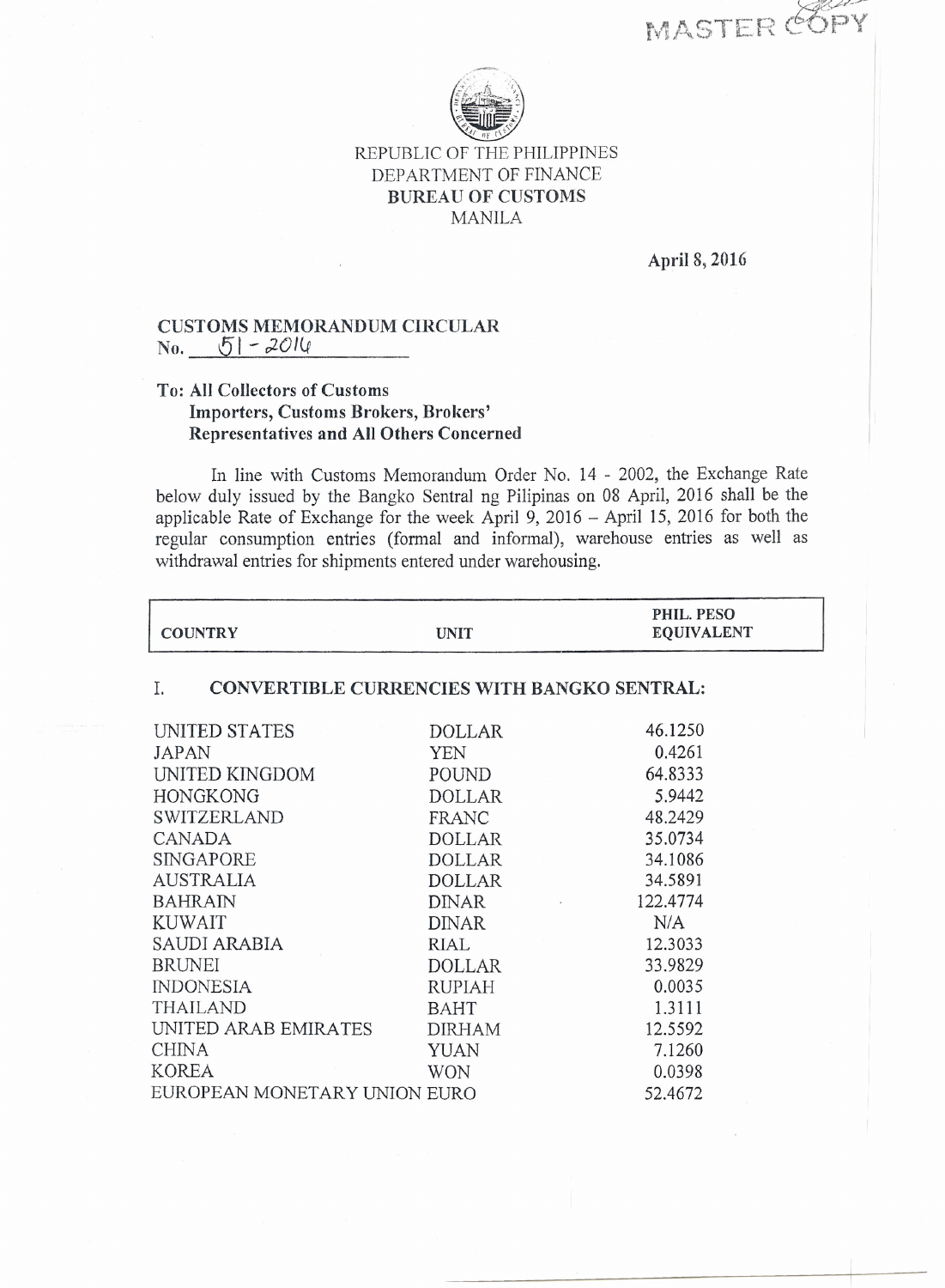MASTER COPY



## REPUBLIC OF THE PHILIPPINES DEPARTMENT OF FINANCE BUREAU OF CUSTOMS MANILA

April 8, 2016

## CUSTOMS MEMORANDUM CIRCULAR  $\text{No.} \qquad 51 - 2014$

## To: All Collectors of Customs Importers, Customs Brokers, Brokers' Representatives and All Others Concerned

In line with Customs Memorandum Order No. 14 - 2002, the Exchange Rate below duly issued by the Bangko Sentral ng Pilipinas on 08 April, 2016 shall be the applicable Rate of Exchange for the week April 9, 2016 - April 15, 2016 for both the regular consumption entries (formal and informal), warehouse entries as well as withdrawal entries for shipments entered under warehousing.

| <b>COUNTRY</b>                                    | <b>UNIT</b>   | PHIL. PESO<br><b>EQUIVALENT</b> |  |
|---------------------------------------------------|---------------|---------------------------------|--|
| CONVERTIBLE CURRENCIES WITH BANGKO SENTRAL:<br>I. |               |                                 |  |
| UNITED STATES                                     | <b>DOLLAR</b> | 46.1250                         |  |
| JAPAN                                             | YEN           | 0.4261                          |  |
| UNITED KINGDOM                                    | POUND         | 64.8333                         |  |
| <b>HONGKONG</b>                                   | <b>DOLLAR</b> | 5.9442                          |  |
| <b>SWITZERLAND</b>                                | FRANC         | 48.2429                         |  |
| <b>CANADA</b>                                     | <b>DOLLAR</b> | 35.0734                         |  |
| SINGAPORE                                         | <b>DOLLAR</b> | 34.1086                         |  |
| <b>AUSTRALIA</b>                                  | <b>DOLLAR</b> | 34.5891                         |  |
| <b>BAHRAIN</b>                                    | <b>DINAR</b>  | 122.4774                        |  |
| <b>KUWAIT</b>                                     | <b>DINAR</b>  | N/A                             |  |
| SAUDI ARABIA                                      | <b>RIAL</b>   | 12.3033                         |  |
| <b>BRUNEI</b>                                     | <b>DOLLAR</b> | 33.9829                         |  |
| <b>INDONESIA</b>                                  | <b>RUPIAH</b> | 0.0035                          |  |
| <b>THAILAND</b>                                   | <b>BAHT</b>   | 1.3111                          |  |
| UNITED ARAB EMIRATES                              | <b>DIRHAM</b> | 12.5592                         |  |
| <b>CHINA</b>                                      | <b>YUAN</b>   | 7.1260                          |  |
| <b>KOREA</b>                                      | <b>WON</b>    | 0.0398                          |  |
| EUROPEAN MONETARY UNION EURO                      |               | 52.4672                         |  |